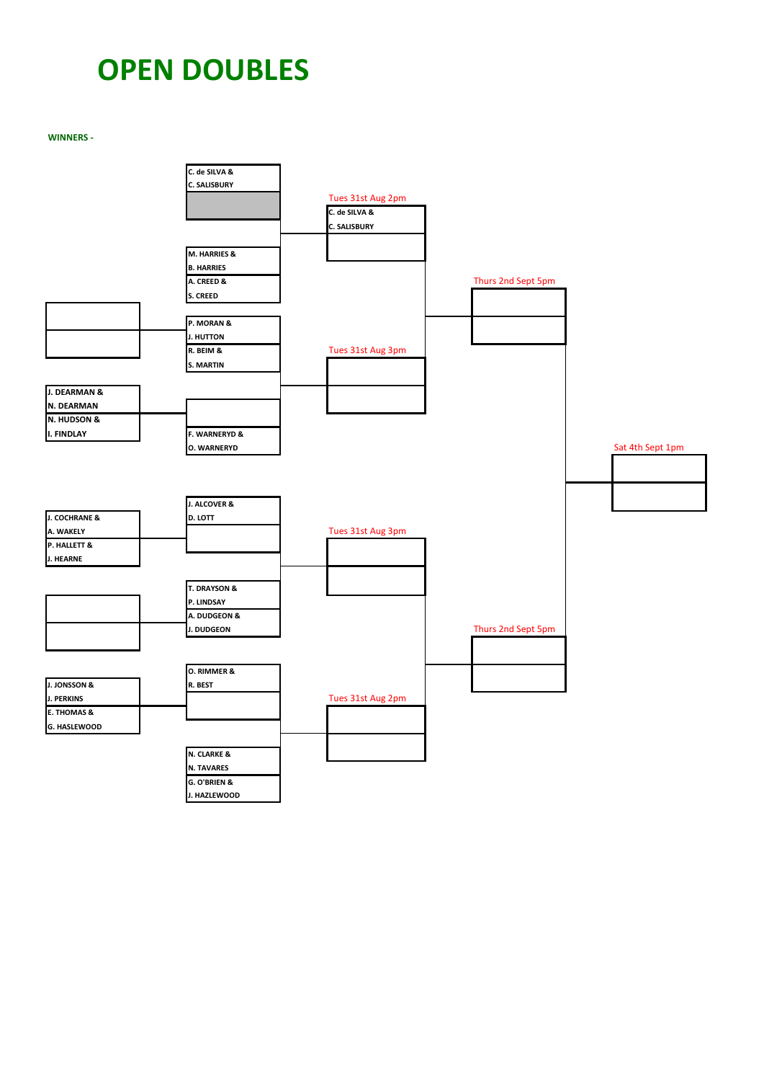## **OPEN DOUBLES**

**WINNERS -** 

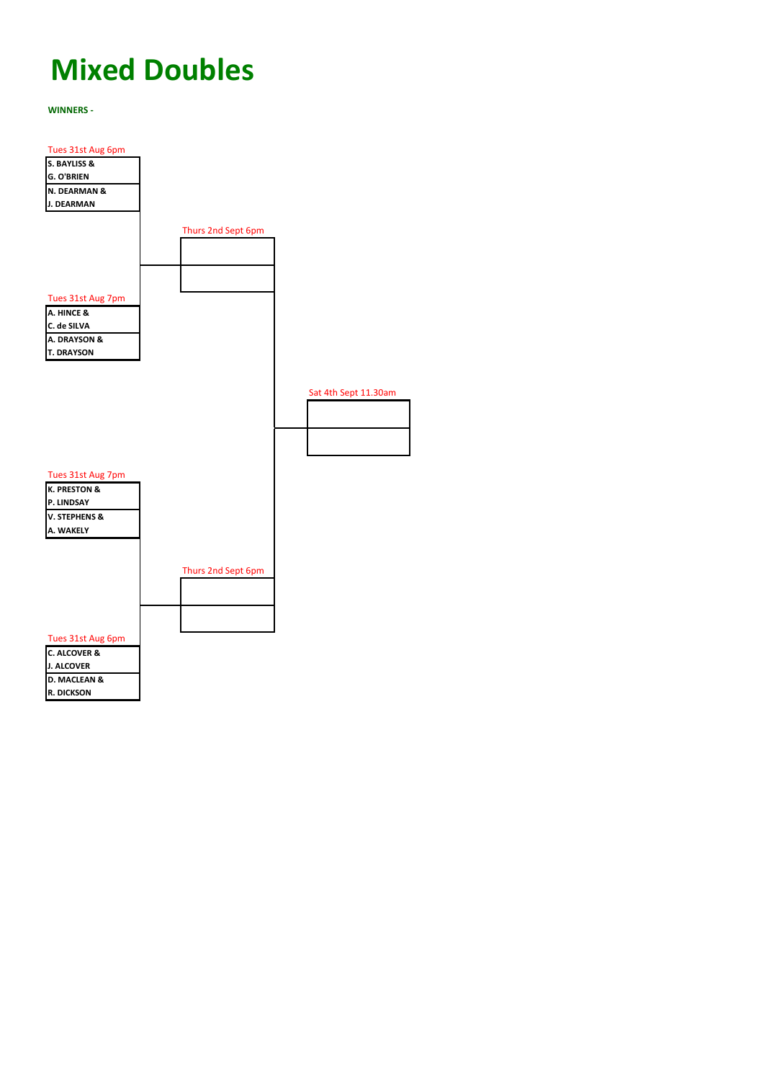## **Mixed Doubles**

**WINNERS -** 

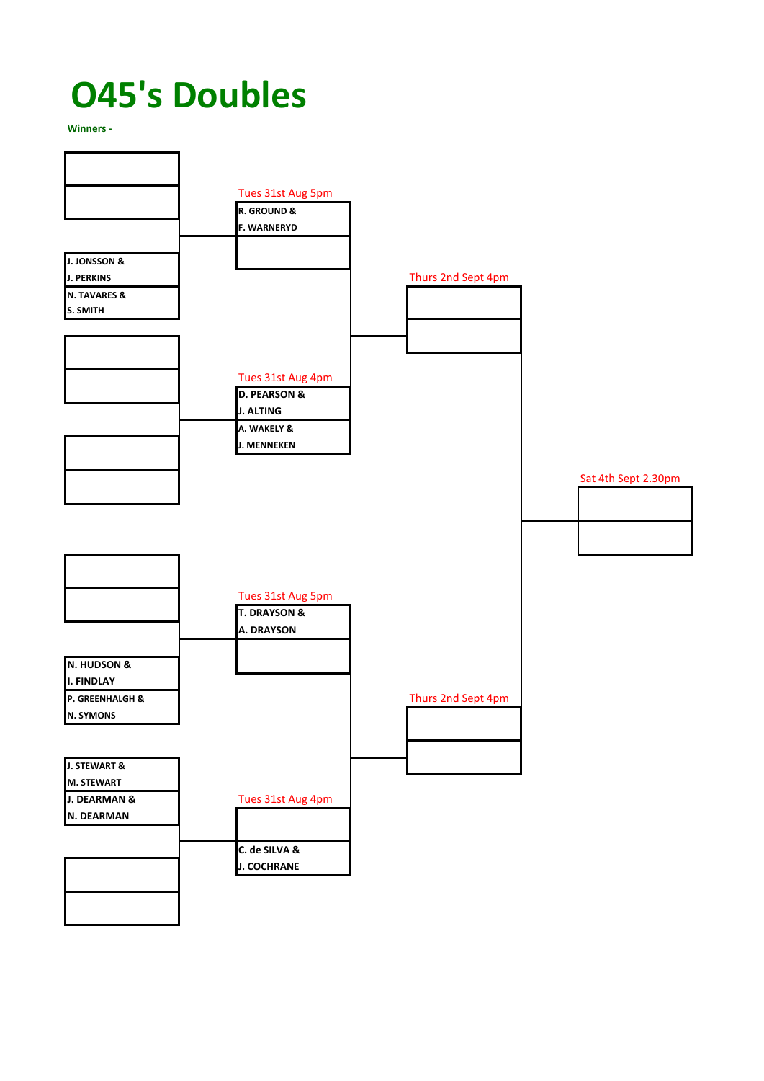## **O45's Doubles**

**Winners -**